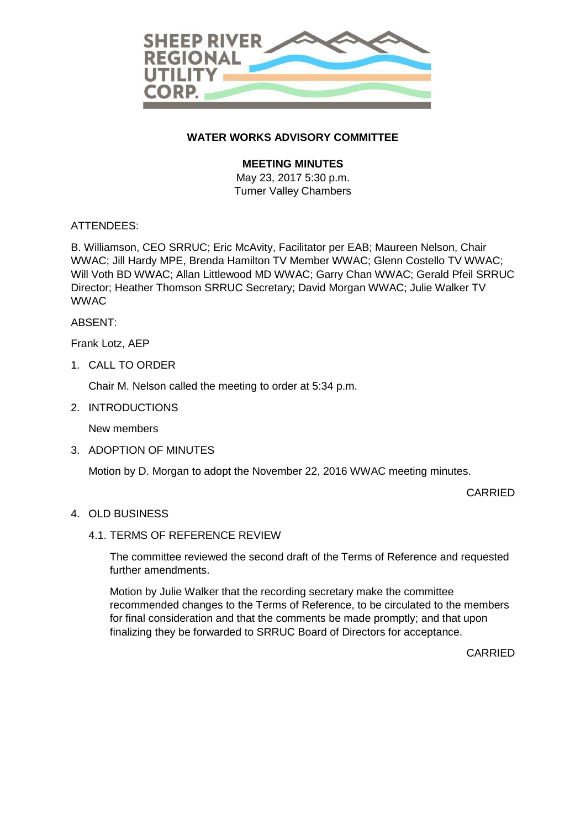

## **WATER WORKS ADVISORY COMMITTEE**

## **MEETING MINUTES**

May 23, 2017 5:30 p.m. Turner Valley Chambers

### ATTENDEES:

B. Williamson, CEO SRRUC; Eric McAvity, Facilitator per EAB; Maureen Nelson, Chair WWAC; Jill Hardy MPE, Brenda Hamilton TV Member WWAC; Glenn Costello TV WWAC; Will Voth BD WWAC; Allan Littlewood MD WWAC; Garry Chan WWAC; Gerald Pfeil SRRUC Director; Heather Thomson SRRUC Secretary; David Morgan WWAC; Julie Walker TV WWAC

### ABSENT:

Frank Lotz, AEP

1. CALL TO ORDER

Chair M. Nelson called the meeting to order at 5:34 p.m.

2. INTRODUCTIONS

New members

3. ADOPTION OF MINUTES

Motion by D. Morgan to adopt the November 22, 2016 WWAC meeting minutes.

CARRIED

### 4. OLD BUSINESS

#### 4.1. TERMS OF REFERENCE REVIEW

The committee reviewed the second draft of the Terms of Reference and requested further amendments.

Motion by Julie Walker that the recording secretary make the committee recommended changes to the Terms of Reference, to be circulated to the members for final consideration and that the comments be made promptly; and that upon finalizing they be forwarded to SRRUC Board of Directors for acceptance.

CARRIED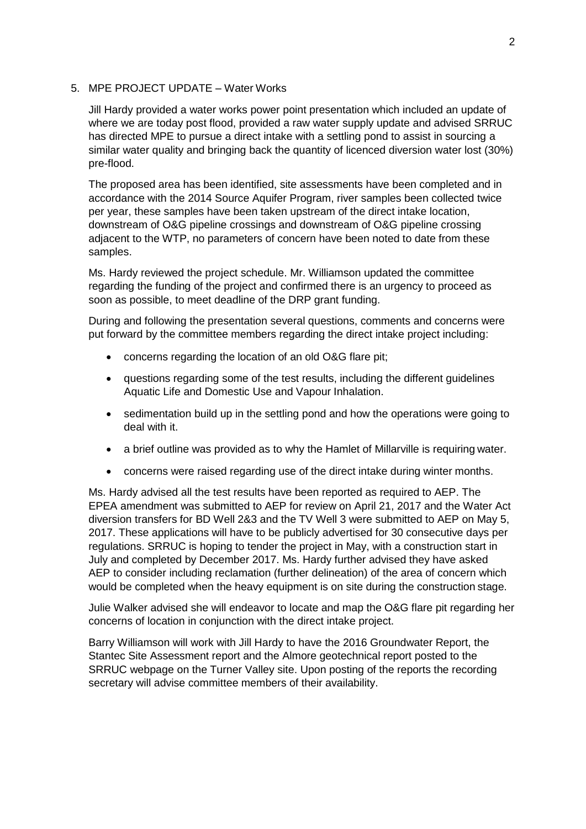### 5. MPE PROJECT UPDATE – Water Works

Jill Hardy provided a water works power point presentation which included an update of where we are today post flood, provided a raw water supply update and advised SRRUC has directed MPE to pursue a direct intake with a settling pond to assist in sourcing a similar water quality and bringing back the quantity of licenced diversion water lost (30%) pre-flood.

The proposed area has been identified, site assessments have been completed and in accordance with the 2014 Source Aquifer Program, river samples been collected twice per year, these samples have been taken upstream of the direct intake location, downstream of O&G pipeline crossings and downstream of O&G pipeline crossing adjacent to the WTP, no parameters of concern have been noted to date from these samples.

Ms. Hardy reviewed the project schedule. Mr. Williamson updated the committee regarding the funding of the project and confirmed there is an urgency to proceed as soon as possible, to meet deadline of the DRP grant funding.

During and following the presentation several questions, comments and concerns were put forward by the committee members regarding the direct intake project including:

- concerns regarding the location of an old O&G flare pit;
- questions regarding some of the test results, including the different guidelines Aquatic Life and Domestic Use and Vapour Inhalation.
- sedimentation build up in the settling pond and how the operations were going to deal with it.
- a brief outline was provided as to why the Hamlet of Millarville is requiring water.
- concerns were raised regarding use of the direct intake during winter months.

Ms. Hardy advised all the test results have been reported as required to AEP. The EPEA amendment was submitted to AEP for review on April 21, 2017 and the Water Act diversion transfers for BD Well 2&3 and the TV Well 3 were submitted to AEP on May 5, 2017. These applications will have to be publicly advertised for 30 consecutive days per regulations. SRRUC is hoping to tender the project in May, with a construction start in July and completed by December 2017. Ms. Hardy further advised they have asked AEP to consider including reclamation (further delineation) of the area of concern which would be completed when the heavy equipment is on site during the construction stage.

Julie Walker advised she will endeavor to locate and map the O&G flare pit regarding her concerns of location in conjunction with the direct intake project.

Barry Williamson will work with Jill Hardy to have the 2016 Groundwater Report, the Stantec Site Assessment report and the Almore geotechnical report posted to the SRRUC webpage on the Turner Valley site. Upon posting of the reports the recording secretary will advise committee members of their availability.